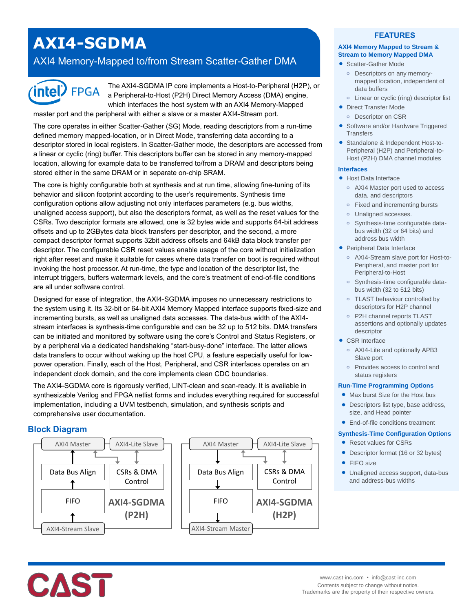# **AXI4-SGDMA**

## AXI4 Memory-Mapped to/from Stream Scatter-Gather DMA



The AXI4-SGDMA IP core implements a Host-to-Peripheral (H2P), or a Peripheral-to-Host (P2H) Direct Memory Access (DMA) engine, which interfaces the host system with an AXI4 Memory-Mapped

master port and the peripheral with either a slave or a master AXI4-Stream port.

The core operates in either Scatter-Gather (SG) Mode, reading descriptors from a run-time defined memory mapped-location, or in Direct Mode, transferring data according to a descriptor stored in local registers. In Scatter-Gather mode, the descriptors are accessed from a linear or cyclic (ring) buffer. This descriptors buffer can be stored in any memory-mapped location, allowing for example data to be transferred to/from a DRAM and descriptors being stored either in the same DRAM or in separate on-chip SRAM.

The core is highly configurable both at synthesis and at run time, allowing fine-tuning of its behavior and silicon footprint according to the user's requirements. Synthesis time configuration options allow adjusting not only interfaces parameters (e.g. bus widths, unaligned access support), but also the descriptors format, as well as the reset values for the CSRs. Two descriptor formats are allowed, one is 32 bytes wide and supports 64-bit address offsets and up to 2GBytes data block transfers per descriptor, and the second, a more compact descriptor format supports 32bit address offsets and 64kB data block transfer per descriptor. The configurable CSR reset values enable usage of the core without initialization right after reset and make it suitable for cases where data transfer on boot is required without invoking the host processor. At run-time, the type and location of the descriptor list, the interrupt triggers, buffers watermark levels, and the core's treatment of end-of-file conditions are all under software control.

Designed for ease of integration, the AXI4-SGDMA imposes no unnecessary restrictions to the system using it. Its 32-bit or 64-bit AXI4 Memory Mapped interface supports fixed-size and incrementing bursts, as well as unaligned data accesses. The data-bus width of the AXI4 stream interfaces is synthesis-time configurable and can be 32 up to 512 bits. DMA transfers can be initiated and monitored by software using the core's Control and Status Registers, or by a peripheral via a dedicated handshaking "start-busy-done" interface. The latter allows data transfers to occur without waking up the host CPU, a feature especially useful for lowpower operation. Finally, each of the Host, Peripheral, and CSR interfaces operates on an independent clock domain, and the core implements clean CDC boundaries.

The AXI4-SGDMA core is rigorously verified, LINT-clean and scan-ready. It is available in synthesizable Verilog and FPGA netlist forms and includes everything required for successful implementation, including a UVM testbench, simulation, and synthesis scripts and comprehensive user documentation.

## **Block Diagram**



## **FEATURES**

## **AXI4 Memory Mapped to Stream & Stream to Memory Mapped DMA**

- Scatter-Gather Mode
	- **o** Descriptors on any memorymapped location, independent of data buffers
- **o** Linear or cyclic (ring) descriptor list
- **•** Direct Transfer Mode **o** Descriptor on CSR
- Software and/or Hardware Triggered **Transfers**
- Standalone & Independent Host-to-Peripheral (H2P) and Peripheral-to-Host (P2H) DMA channel modules

#### **Interfaces**

- Host Data Interface
	- **o** AXI4 Master port used to access data, and descriptors
	- **o** Fixed and incrementing bursts
	- **o** Unaligned accesses.
	- **o** Synthesis-time configurable databus width (32 or 64 bits) and address bus width
- Peripheral Data Interface
	- **o** AXI4-Stream slave port for Host-to-Peripheral, and master port for Peripheral-to-Host
	- **o** Synthesis-time configurable databus width (32 to 512 bits)
	- **o** TLAST behaviour controlled by descriptors for H2P channel
	- **o** P2H channel reports TLAST assertions and optionally updates descriptor
- CSR Interface
	- **o** AXI4-Lite and optionally APB3 Slave port
	- **o** Provides access to control and status registers

#### **Run-Time Programming Options**

- Max burst Size for the Host bus
- Descriptors list type, base address, size, and Head pointer
- End-of-file conditions treatment

#### **Synthesis-Time Configuration Options**

- Reset values for CSRs
- Descriptor format (16 or 32 bytes)
- FIFO size
- Unaligned access support, data-bus and address-bus widths



www.cast-inc.com • info@cast-inc.com Contents subject to change without notice. Trademarks are the property of their respective owners.